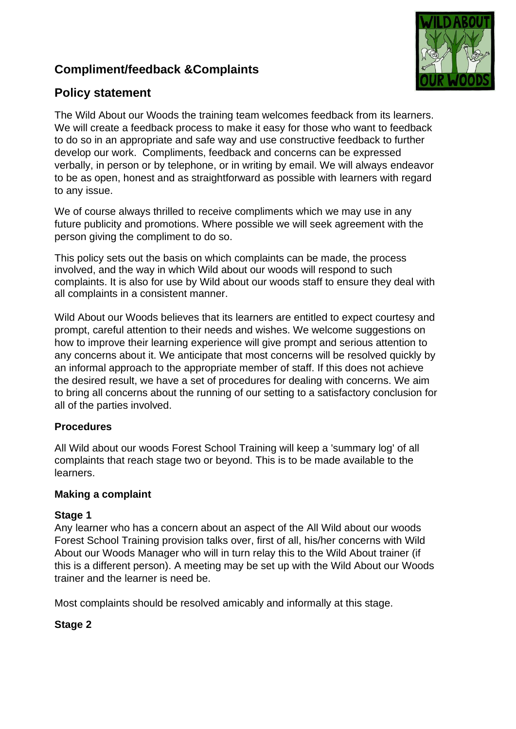# **Compliment/feedback &Complaints**



## **Policy statement**

The Wild About our Woods the training team welcomes feedback from its learners. We will create a feedback process to make it easy for those who want to feedback to do so in an appropriate and safe way and use constructive feedback to further develop our work. Compliments, feedback and concerns can be expressed verbally, in person or by telephone, or in writing by email. We will always endeavor to be as open, honest and as straightforward as possible with learners with regard to any issue.

We of course always thrilled to receive compliments which we may use in any future publicity and promotions. Where possible we will seek agreement with the person giving the compliment to do so.

This policy sets out the basis on which complaints can be made, the process involved, and the way in which Wild about our woods will respond to such complaints. It is also for use by Wild about our woods staff to ensure they deal with all complaints in a consistent manner.

Wild About our Woods believes that its learners are entitled to expect courtesy and prompt, careful attention to their needs and wishes. We welcome suggestions on how to improve their learning experience will give prompt and serious attention to any concerns about it. We anticipate that most concerns will be resolved quickly by an informal approach to the appropriate member of staff. If this does not achieve the desired result, we have a set of procedures for dealing with concerns. We aim to bring all concerns about the running of our setting to a satisfactory conclusion for all of the parties involved.

### **Procedures**

All Wild about our woods Forest School Training will keep a 'summary log' of all complaints that reach stage two or beyond. This is to be made available to the learners.

### **Making a complaint**

### **Stage 1**

Any learner who has a concern about an aspect of the All Wild about our woods Forest School Training provision talks over, first of all, his/her concerns with Wild About our Woods Manager who will in turn relay this to the Wild About trainer (if this is a different person). A meeting may be set up with the Wild About our Woods trainer and the learner is need be.

Most complaints should be resolved amicably and informally at this stage.

### **Stage 2**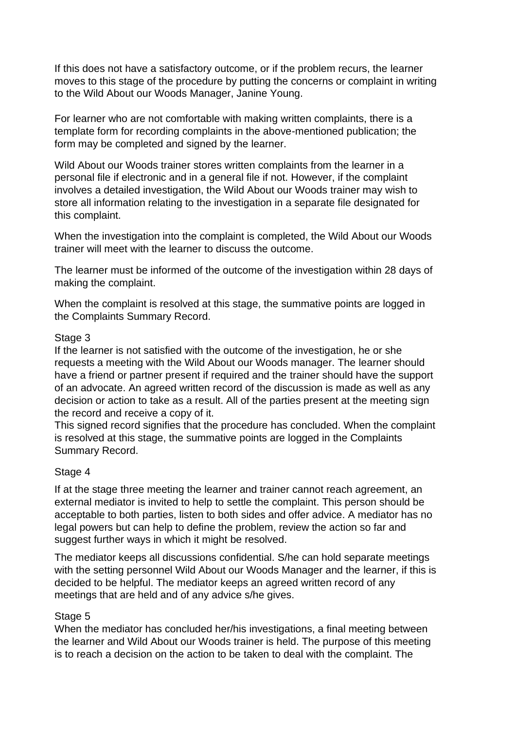If this does not have a satisfactory outcome, or if the problem recurs, the learner moves to this stage of the procedure by putting the concerns or complaint in writing to the Wild About our Woods Manager, Janine Young.

For learner who are not comfortable with making written complaints, there is a template form for recording complaints in the above-mentioned publication; the form may be completed and signed by the learner.

Wild About our Woods trainer stores written complaints from the learner in a personal file if electronic and in a general file if not. However, if the complaint involves a detailed investigation, the Wild About our Woods trainer may wish to store all information relating to the investigation in a separate file designated for this complaint.

When the investigation into the complaint is completed, the Wild About our Woods trainer will meet with the learner to discuss the outcome.

The learner must be informed of the outcome of the investigation within 28 days of making the complaint.

When the complaint is resolved at this stage, the summative points are logged in the Complaints Summary Record.

#### Stage 3

If the learner is not satisfied with the outcome of the investigation, he or she requests a meeting with the Wild About our Woods manager. The learner should have a friend or partner present if required and the trainer should have the support of an advocate. An agreed written record of the discussion is made as well as any decision or action to take as a result. All of the parties present at the meeting sign the record and receive a copy of it.

This signed record signifies that the procedure has concluded. When the complaint is resolved at this stage, the summative points are logged in the Complaints Summary Record.

### Stage 4

If at the stage three meeting the learner and trainer cannot reach agreement, an external mediator is invited to help to settle the complaint. This person should be acceptable to both parties, listen to both sides and offer advice. A mediator has no legal powers but can help to define the problem, review the action so far and suggest further ways in which it might be resolved.

The mediator keeps all discussions confidential. S/he can hold separate meetings with the setting personnel Wild About our Woods Manager and the learner, if this is decided to be helpful. The mediator keeps an agreed written record of any meetings that are held and of any advice s/he gives.

### Stage 5

When the mediator has concluded her/his investigations, a final meeting between the learner and Wild About our Woods trainer is held. The purpose of this meeting is to reach a decision on the action to be taken to deal with the complaint. The